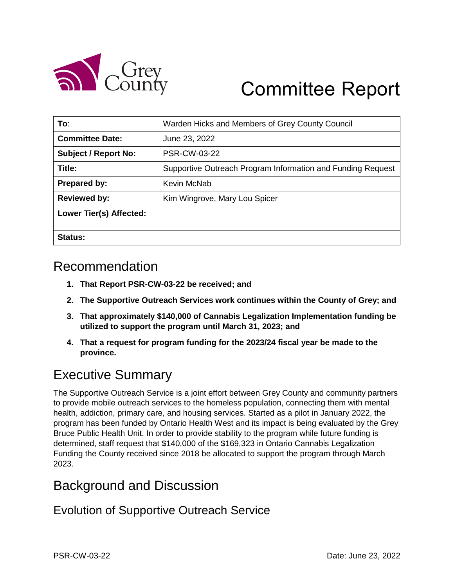

# Committee Report

| To:                         | Warden Hicks and Members of Grey County Council             |
|-----------------------------|-------------------------------------------------------------|
| <b>Committee Date:</b>      | June 23, 2022                                               |
| <b>Subject / Report No:</b> | <b>PSR-CW-03-22</b>                                         |
| Title:                      | Supportive Outreach Program Information and Funding Request |
| <b>Prepared by:</b>         | Kevin McNab                                                 |
| <b>Reviewed by:</b>         | Kim Wingrove, Mary Lou Spicer                               |
| Lower Tier(s) Affected:     |                                                             |
| Status:                     |                                                             |

#### Recommendation

- **1. That Report PSR-CW-03-22 be received; and**
- **2. The Supportive Outreach Services work continues within the County of Grey; and**
- **3. That approximately \$140,000 of Cannabis Legalization Implementation funding be utilized to support the program until March 31, 2023; and**
- **4. That a request for program funding for the 2023/24 fiscal year be made to the province.**

## Executive Summary

The Supportive Outreach Service is a joint effort between Grey County and community partners to provide mobile outreach services to the homeless population, connecting them with mental health, addiction, primary care, and housing services. Started as a pilot in January 2022, the program has been funded by Ontario Health West and its impact is being evaluated by the Grey Bruce Public Health Unit. In order to provide stability to the program while future funding is determined, staff request that \$140,000 of the \$169,323 in Ontario Cannabis Legalization Funding the County received since 2018 be allocated to support the program through March 2023.

## Background and Discussion

Evolution of Supportive Outreach Service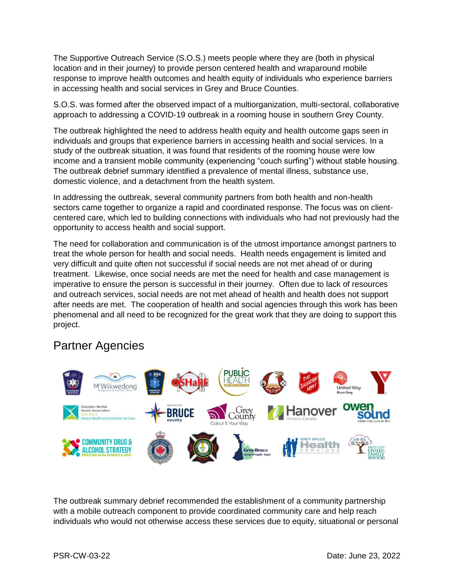The Supportive Outreach Service (S.O.S.) meets people where they are (both in physical location and in their journey) to provide person centered health and wraparound mobile response to improve health outcomes and health equity of individuals who experience barriers in accessing health and social services in Grey and Bruce Counties.

S.O.S. was formed after the observed impact of a multiorganization, multi-sectoral, collaborative approach to addressing a COVID-19 outbreak in a rooming house in southern Grey County.

The outbreak highlighted the need to address health equity and health outcome gaps seen in individuals and groups that experience barriers in accessing health and social services. In a study of the outbreak situation, it was found that residents of the rooming house were low income and a transient mobile community (experiencing "couch surfing") without stable housing. The outbreak debrief summary identified a prevalence of mental illness, substance use, domestic violence, and a detachment from the health system.

In addressing the outbreak, several community partners from both health and non-health sectors came together to organize a rapid and coordinated response. The focus was on clientcentered care, which led to building connections with individuals who had not previously had the opportunity to access health and social support.

The need for collaboration and communication is of the utmost importance amongst partners to treat the whole person for health and social needs. Health needs engagement is limited and very difficult and quite often not successful if social needs are not met ahead of or during treatment. Likewise, once social needs are met the need for health and case management is imperative to ensure the person is successful in their journey. Often due to lack of resources and outreach services, social needs are not met ahead of health and health does not support after needs are met. The cooperation of health and social agencies through this work has been phenomenal and all need to be recognized for the great work that they are doing to support this project.

#### Partner Agencies



The outbreak summary debrief recommended the establishment of a community partnership with a mobile outreach component to provide coordinated community care and help reach individuals who would not otherwise access these services due to equity, situational or personal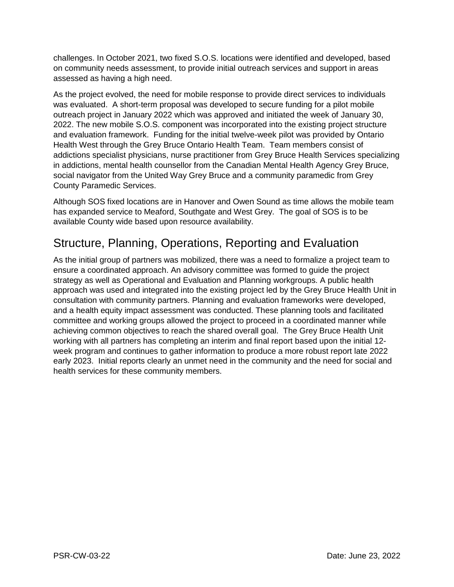challenges. In October 2021, two fixed S.O.S. locations were identified and developed, based on community needs assessment, to provide initial outreach services and support in areas assessed as having a high need.

As the project evolved, the need for mobile response to provide direct services to individuals was evaluated. A short-term proposal was developed to secure funding for a pilot mobile outreach project in January 2022 which was approved and initiated the week of January 30, 2022. The new mobile S.O.S. component was incorporated into the existing project structure and evaluation framework. Funding for the initial twelve-week pilot was provided by Ontario Health West through the Grey Bruce Ontario Health Team. Team members consist of addictions specialist physicians, nurse practitioner from Grey Bruce Health Services specializing in addictions, mental health counsellor from the Canadian Mental Health Agency Grey Bruce, social navigator from the United Way Grey Bruce and a community paramedic from Grey County Paramedic Services.

Although SOS fixed locations are in Hanover and Owen Sound as time allows the mobile team has expanded service to Meaford, Southgate and West Grey. The goal of SOS is to be available County wide based upon resource availability.

#### Structure, Planning, Operations, Reporting and Evaluation

As the initial group of partners was mobilized, there was a need to formalize a project team to ensure a coordinated approach. An advisory committee was formed to guide the project strategy as well as Operational and Evaluation and Planning workgroups. A public health approach was used and integrated into the existing project led by the Grey Bruce Health Unit in consultation with community partners. Planning and evaluation frameworks were developed, and a health equity impact assessment was conducted. These planning tools and facilitated committee and working groups allowed the project to proceed in a coordinated manner while achieving common objectives to reach the shared overall goal. The Grey Bruce Health Unit working with all partners has completing an interim and final report based upon the initial 12 week program and continues to gather information to produce a more robust report late 2022 early 2023. Initial reports clearly an unmet need in the community and the need for social and health services for these community members.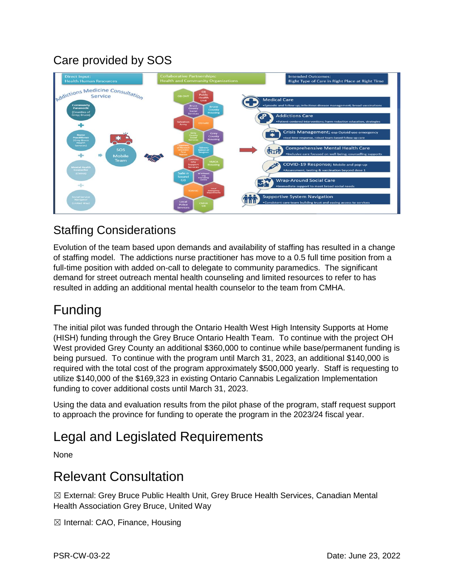### Care provided by SOS



#### Staffing Considerations

Evolution of the team based upon demands and availability of staffing has resulted in a change of staffing model. The addictions nurse practitioner has move to a 0.5 full time position from a full-time position with added on-call to delegate to community paramedics. The significant demand for street outreach mental health counseling and limited resources to refer to has resulted in adding an additional mental health counselor to the team from CMHA.

## Funding

The initial pilot was funded through the Ontario Health West High Intensity Supports at Home (HISH) funding through the Grey Bruce Ontario Health Team. To continue with the project OH West provided Grey County an additional \$360,000 to continue while base/permanent funding is being pursued. To continue with the program until March 31, 2023, an additional \$140,000 is required with the total cost of the program approximately \$500,000 yearly. Staff is requesting to utilize \$140,000 of the \$169,323 in existing Ontario Cannabis Legalization Implementation funding to cover additional costs until March 31, 2023.

Using the data and evaluation results from the pilot phase of the program, staff request support to approach the province for funding to operate the program in the 2023/24 fiscal year.

## Legal and Legislated Requirements

None

### Relevant Consultation

☒ External: Grey Bruce Public Health Unit, Grey Bruce Health Services, Canadian Mental Health Association Grey Bruce, United Way

☒ Internal: CAO, Finance, Housing